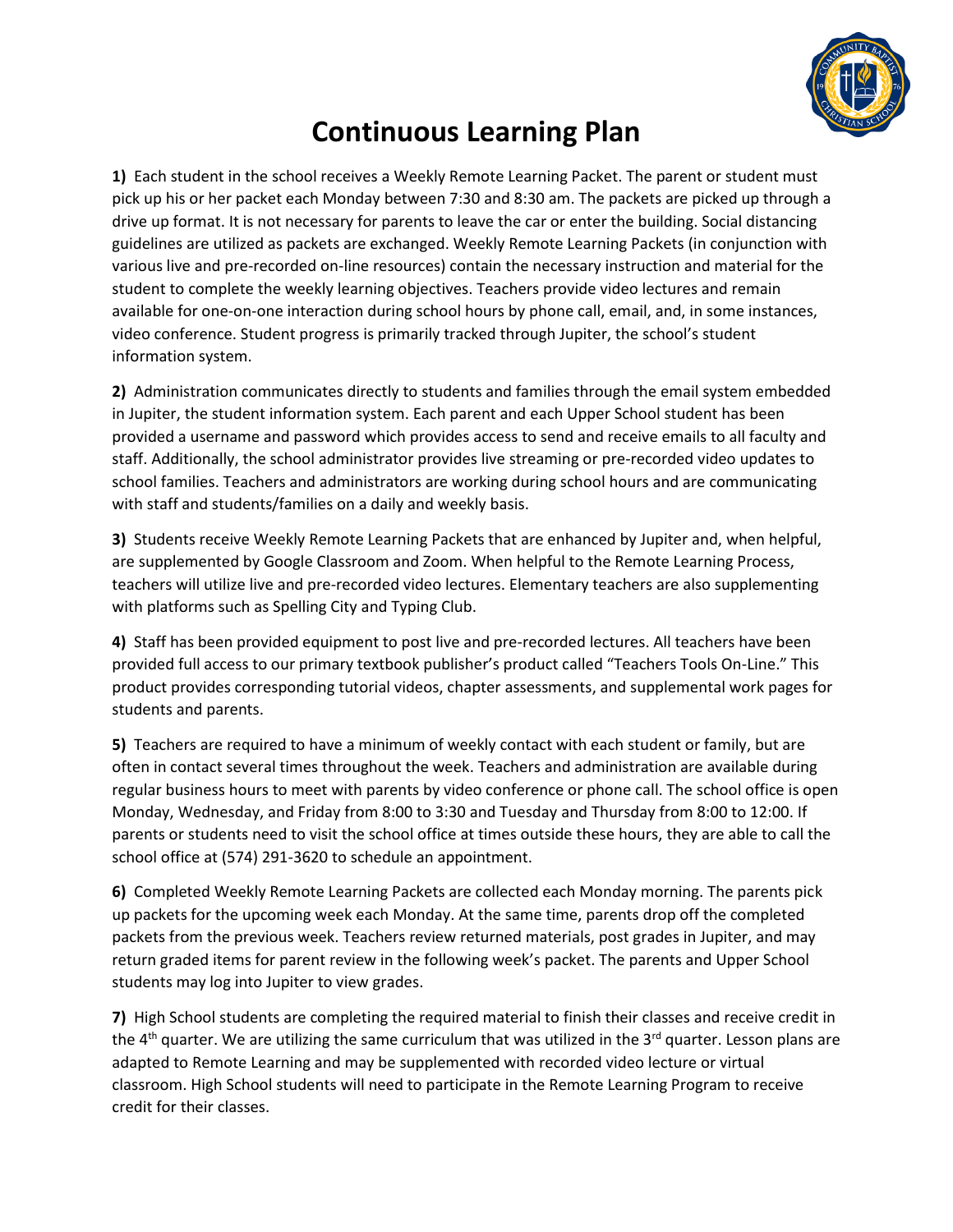

## **Continuous Learning Plan**

**1)** Each student in the school receives a Weekly Remote Learning Packet. The parent or student must pick up his or her packet each Monday between 7:30 and 8:30 am. The packets are picked up through a drive up format. It is not necessary for parents to leave the car or enter the building. Social distancing guidelines are utilized as packets are exchanged. Weekly Remote Learning Packets (in conjunction with various live and pre-recorded on-line resources) contain the necessary instruction and material for the student to complete the weekly learning objectives. Teachers provide video lectures and remain available for one-on-one interaction during school hours by phone call, email, and, in some instances, video conference. Student progress is primarily tracked through Jupiter, the school's student information system.

**2)** Administration communicates directly to students and families through the email system embedded in Jupiter, the student information system. Each parent and each Upper School student has been provided a username and password which provides access to send and receive emails to all faculty and staff. Additionally, the school administrator provides live streaming or pre-recorded video updates to school families. Teachers and administrators are working during school hours and are communicating with staff and students/families on a daily and weekly basis.

**3)** Students receive Weekly Remote Learning Packets that are enhanced by Jupiter and, when helpful, are supplemented by Google Classroom and Zoom. When helpful to the Remote Learning Process, teachers will utilize live and pre-recorded video lectures. Elementary teachers are also supplementing with platforms such as Spelling City and Typing Club.

**4)** Staff has been provided equipment to post live and pre-recorded lectures. All teachers have been provided full access to our primary textbook publisher's product called "Teachers Tools On-Line." This product provides corresponding tutorial videos, chapter assessments, and supplemental work pages for students and parents.

**5)** Teachers are required to have a minimum of weekly contact with each student or family, but are often in contact several times throughout the week. Teachers and administration are available during regular business hours to meet with parents by video conference or phone call. The school office is open Monday, Wednesday, and Friday from 8:00 to 3:30 and Tuesday and Thursday from 8:00 to 12:00. If parents or students need to visit the school office at times outside these hours, they are able to call the school office at (574) 291-3620 to schedule an appointment.

**6)** Completed Weekly Remote Learning Packets are collected each Monday morning. The parents pick up packets for the upcoming week each Monday. At the same time, parents drop off the completed packets from the previous week. Teachers review returned materials, post grades in Jupiter, and may return graded items for parent review in the following week's packet. The parents and Upper School students may log into Jupiter to view grades.

**7)** High School students are completing the required material to finish their classes and receive credit in the  $4<sup>th</sup>$  quarter. We are utilizing the same curriculum that was utilized in the 3<sup>rd</sup> quarter. Lesson plans are adapted to Remote Learning and may be supplemented with recorded video lecture or virtual classroom. High School students will need to participate in the Remote Learning Program to receive credit for their classes.